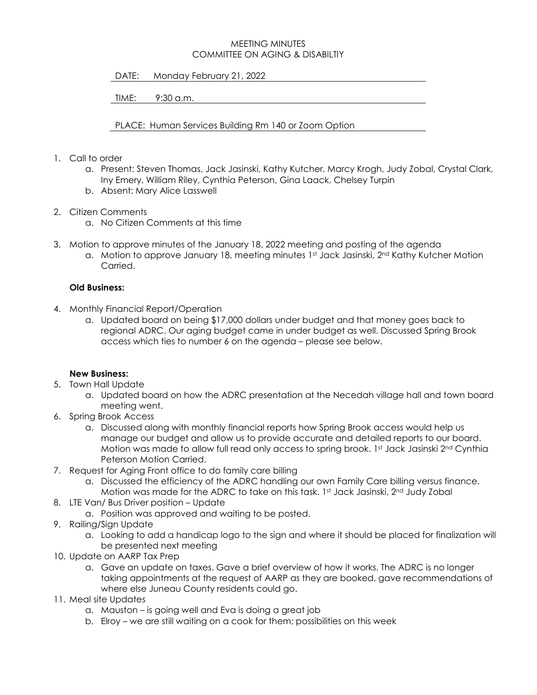## MEETING MINUTES COMMITTEE ON AGING & DISABILTIY

DATE: Monday February 21, 2022

TIME: 9:30 a.m.

PLACE: Human Services Building Rm 140 or Zoom Option

- 1. Call to order
	- a. Present: Steven Thomas, Jack Jasinski, Kathy Kutcher, Marcy Krogh, Judy Zobal, Crystal Clark, Iny Emery, William Riley, Cynthia Peterson, Gina Laack, Chelsey Turpin
	- b. Absent: Mary Alice Lasswell
- 2. Citizen Comments
	- a. No Citizen Comments at this time
- 3. Motion to approve minutes of the January 18, 2022 meeting and posting of the agenda
	- a. Motion to approve January 18, meeting minutes 1st Jack Jasinski, 2nd Kathy Kutcher Motion Carried.

## **Old Business:**

- 4. Monthly Financial Report/Operation
	- a. Updated board on being \$17,000 dollars under budget and that money goes back to regional ADRC. Our aging budget came in under budget as well. Discussed Spring Brook access which ties to number 6 on the agenda – please see below.

## **New Business:**

- 5. Town Hall Update
	- a. Updated board on how the ADRC presentation at the Necedah village hall and town board meeting went.
- 6. Spring Brook Access
	- a. Discussed along with monthly financial reports how Spring Brook access would help us manage our budget and allow us to provide accurate and detailed reports to our board. Motion was made to allow full read only access to spring brook. 1st Jack Jasinski 2nd Cynthia Peterson Motion Carried.
- 7. Request for Aging Front office to do family care billing
	- a. Discussed the efficiency of the ADRC handling our own Family Care billing versus finance. Motion was made for the ADRC to take on this task. 1st Jack Jasinski, 2nd Judy Zobal
- 8. LTE Van/ Bus Driver position Update
	- a. Position was approved and waiting to be posted.
- 9. Railing/Sign Update
	- a. Looking to add a handicap logo to the sign and where it should be placed for finalization will be presented next meeting
- 10. Update on AARP Tax Prep
	- a. Gave an update on taxes. Gave a brief overview of how it works. The ADRC is no longer taking appointments at the request of AARP as they are booked, gave recommendations of where else Juneau County residents could go.
- 11. Meal site Updates
	- a. Mauston is going well and Eva is doing a great job
	- b. Elroy we are still waiting on a cook for them; possibilities on this week